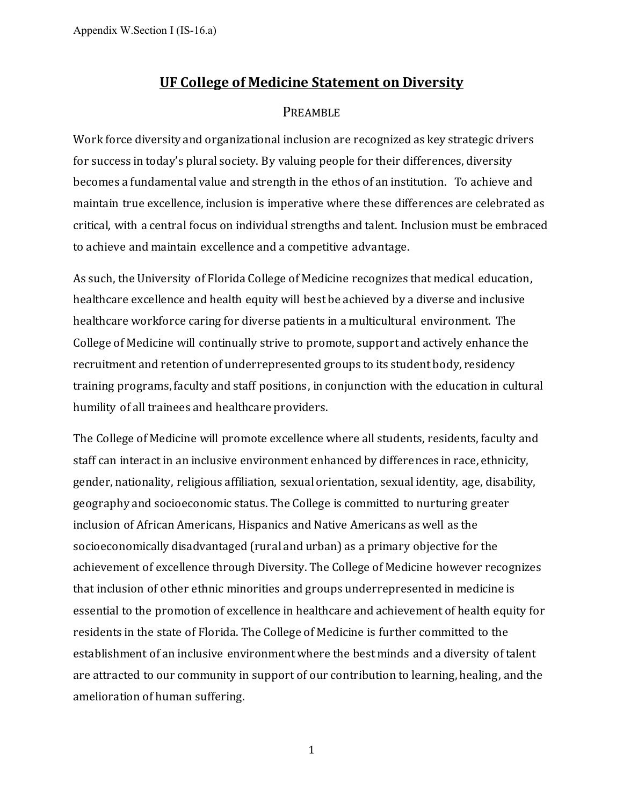# **UF College of Medicine Statement on Diversity**

## PREAMBLE

Work force diversity and organizational inclusion are recognized as key strategic drivers for success in today's plural society. By valuing people for their differences, diversity becomes a fundamental value and strength in the ethos of an institution. To achieve and maintain true excellence, inclusion is imperative where these differences are celebrated as critical, with a central focus on individual strengths and talent. Inclusion must be embraced to achieve and maintain excellence and a competitive advantage.

As such, the University of Florida College of Medicine recognizes that medical education, healthcare excellence and health equity will best be achieved by a diverse and inclusive healthcare workforce caring for diverse patients in a multicultural environment. The College of Medicine will continually strive to promote, support and actively enhance the recruitment and retention of underrepresented groups to its student body, residency training programs, faculty and staff positions, in conjunction with the education in cultural humility of all trainees and healthcare providers.

The College of Medicine will promote excellence where all students, residents, faculty and staff can interact in an inclusive environment enhanced by differences in race, ethnicity, gender, nationality, religious affiliation, sexual orientation, sexual identity, age, disability, geography and socioeconomic status. The College is committed to nurturing greater inclusion of African Americans, Hispanics and Native Americans as well as the socioeconomically disadvantaged (rural and urban) as a primary objective for the achievement of excellence through Diversity. The College of Medicine however recognizes that inclusion of other ethnic minorities and groups underrepresented in medicine is essential to the promotion of excellence in healthcare and achievement of health equity for residents in the state of Florida. The College of Medicine is further committed to the establishment of an inclusive environment where the best minds and a diversity of talent are attracted to our community in support of our contribution to learning, healing, and the amelioration of human suffering.

1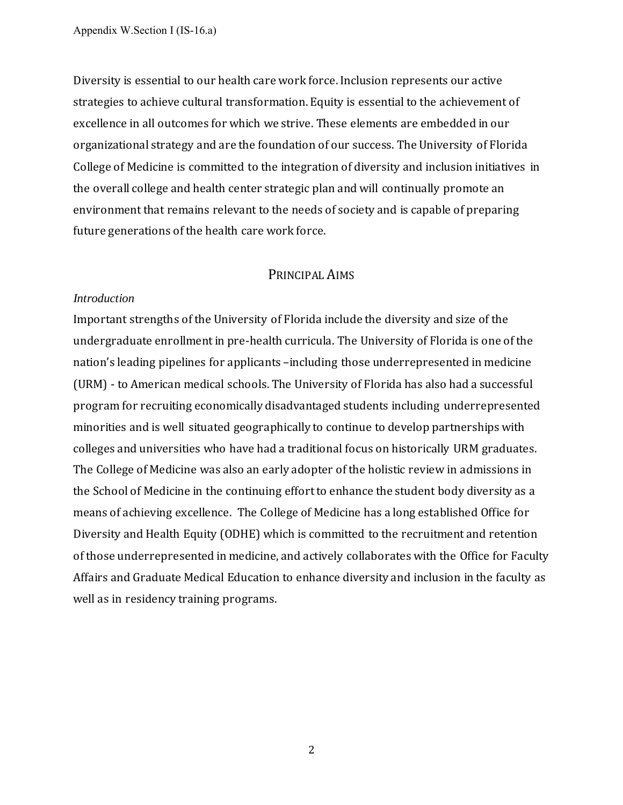Diversity is essential to our health care work force. Inclusion represents our active strategies to achieve cultural transformation. Equity is essential to the achievement of excellence in all outcomes for which we strive. These elements are embedded in our organizational strategy and are the foundation of our success. The University of Florida College of Medicine is committed to the integration of diversity and inclusion initiatives in the overall college and health center strategic plan and will continually promote an environment that remains relevant to the needs of society and is capable of preparing future generations of the health care work force.

### PRINCIPAL AIMS

#### *Introduction*

Important strengths of the University of Florida include the diversity and size of the undergraduate enrollment in pre-health curricula. The University of Florida is one of the nation's leading pipelines for applicants –including those underrepresented in medicine (URM) - to American medical schools. The University of Florida has also had a successful program for recruiting economically disadvantaged students including underrepresented minorities and is well situated geographically to continue to develop partnerships with colleges and universities who have had a traditional focus on historically URM graduates. The College of Medicine was also an early adopter of the holistic review in admissions in the School of Medicine in the continuing effort to enhance the student body diversity as a means of achieving excellence. The College of Medicine has a long established Office for Diversity and Health Equity (ODHE) which is committed to the recruitment and retention of those underrepresented in medicine, and actively collaborates with the Office for Faculty Affairs and Graduate Medical Education to enhance diversity and inclusion in the faculty as well as in residency training programs.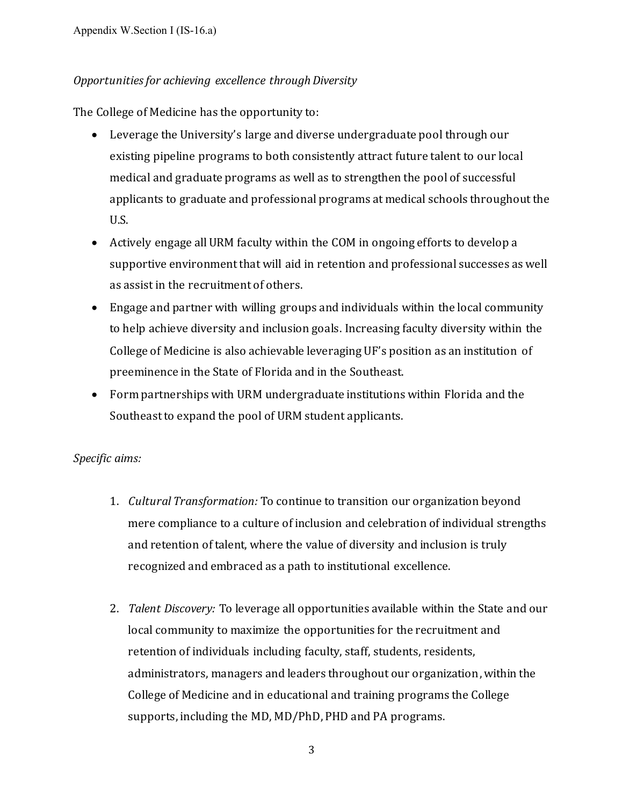# *Opportunities for achieving excellence through Diversity*

The College of Medicine has the opportunity to:

- Leverage the University's large and diverse undergraduate pool through our existing pipeline programs to both consistently attract future talent to our local medical and graduate programs as well as to strengthen the pool of successful applicants to graduate and professional programs at medical schools throughout the U.S.
- Actively engage all URM faculty within the COM in ongoing efforts to develop a supportive environment that will aid in retention and professional successes as well as assist in the recruitment of others.
- Engage and partner with willing groups and individuals within the local community to help achieve diversity and inclusion goals. Increasing faculty diversity within the College of Medicine is also achievable leveraging UF's position as an institution of preeminence in the State of Florida and in the Southeast.
- Form partnerships with URM undergraduate institutions within Florida and the Southeast to expand the pool of URM student applicants.

### *Specific aims:*

- 1. *Cultural Transformation:* To continue to transition our organization beyond mere compliance to a culture of inclusion and celebration of individual strengths and retention of talent, where the value of diversity and inclusion is truly recognized and embraced as a path to institutional excellence.
- 2. *Talent Discovery:* To leverage all opportunities available within the State and our local community to maximize the opportunities for the recruitment and retention of individuals including faculty, staff, students, residents, administrators, managers and leaders throughout our organization, within the College of Medicine and in educational and training programs the College supports, including the MD, MD/PhD, PHD and PA programs.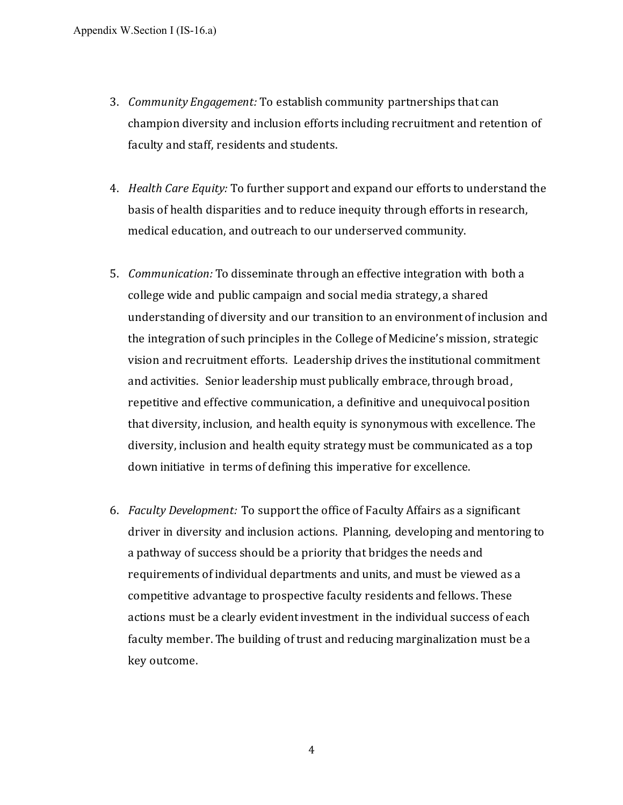- 3. *Community Engagement:* To establish community partnerships that can champion diversity and inclusion efforts including recruitment and retention of faculty and staff, residents and students.
- 4. *Health Care Equity:* To further support and expand our efforts to understand the basis of health disparities and to reduce inequity through efforts in research, medical education, and outreach to our underserved community.
- 5. *Communication:* To disseminate through an effective integration with both a college wide and public campaign and social media strategy, a shared understanding of diversity and our transition to an environment of inclusion and the integration of such principles in the College of Medicine's mission, strategic vision and recruitment efforts. Leadership drives the institutional commitment and activities. Senior leadership must publically embrace, through broad, repetitive and effective communication, a definitive and unequivocal position that diversity, inclusion, and health equity is synonymous with excellence. The diversity, inclusion and health equity strategy must be communicated as a top down initiative in terms of defining this imperative for excellence.
- 6. *Faculty Development:* To support the office of Faculty Affairs as a significant driver in diversity and inclusion actions. Planning, developing and mentoring to a pathway of success should be a priority that bridges the needs and requirements of individual departments and units, and must be viewed as a competitive advantage to prospective faculty residents and fellows. These actions must be a clearly evident investment in the individual success of each faculty member. The building of trust and reducing marginalization must be a key outcome.